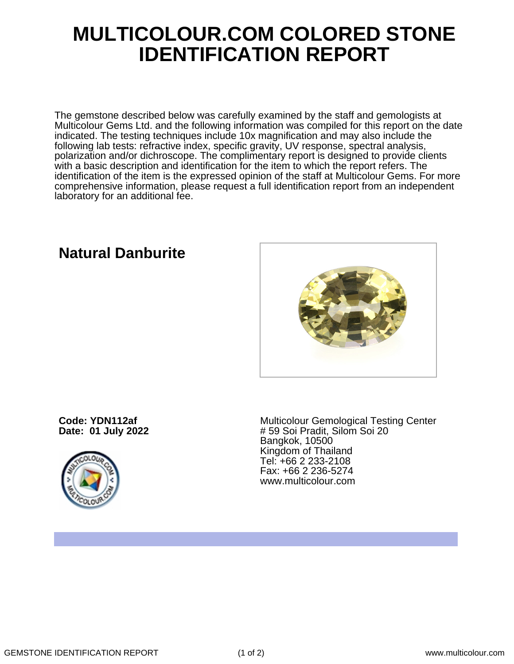## **MULTICOLOUR.COM COLORED STONE IDENTIFICATION REPORT**

The gemstone described below was carefully examined by the staff and gemologists at Multicolour Gems Ltd. and the following information was compiled for this report on the date indicated. The testing techniques include 10x magnification and may also include the following lab tests: refractive index, specific gravity, UV response, spectral analysis, polarization and/or dichroscope. The complimentary report is designed to provide clients with a basic description and identification for the item to which the report refers. The identification of the item is the expressed opinion of the staff at Multicolour Gems. For more comprehensive information, please request a full identification report from an independent laboratory for an additional fee.

### **Natural Danburite**

**Code: YDN112af Date: 01 July 2022**



Multicolour Gemological Testing Center # 59 Soi Pradit, Silom Soi 20 Bangkok, 10500 Kingdom of Thailand Tel: +66 2 233-2108 Fax: +66 2 236-5274 www.multicolour.com